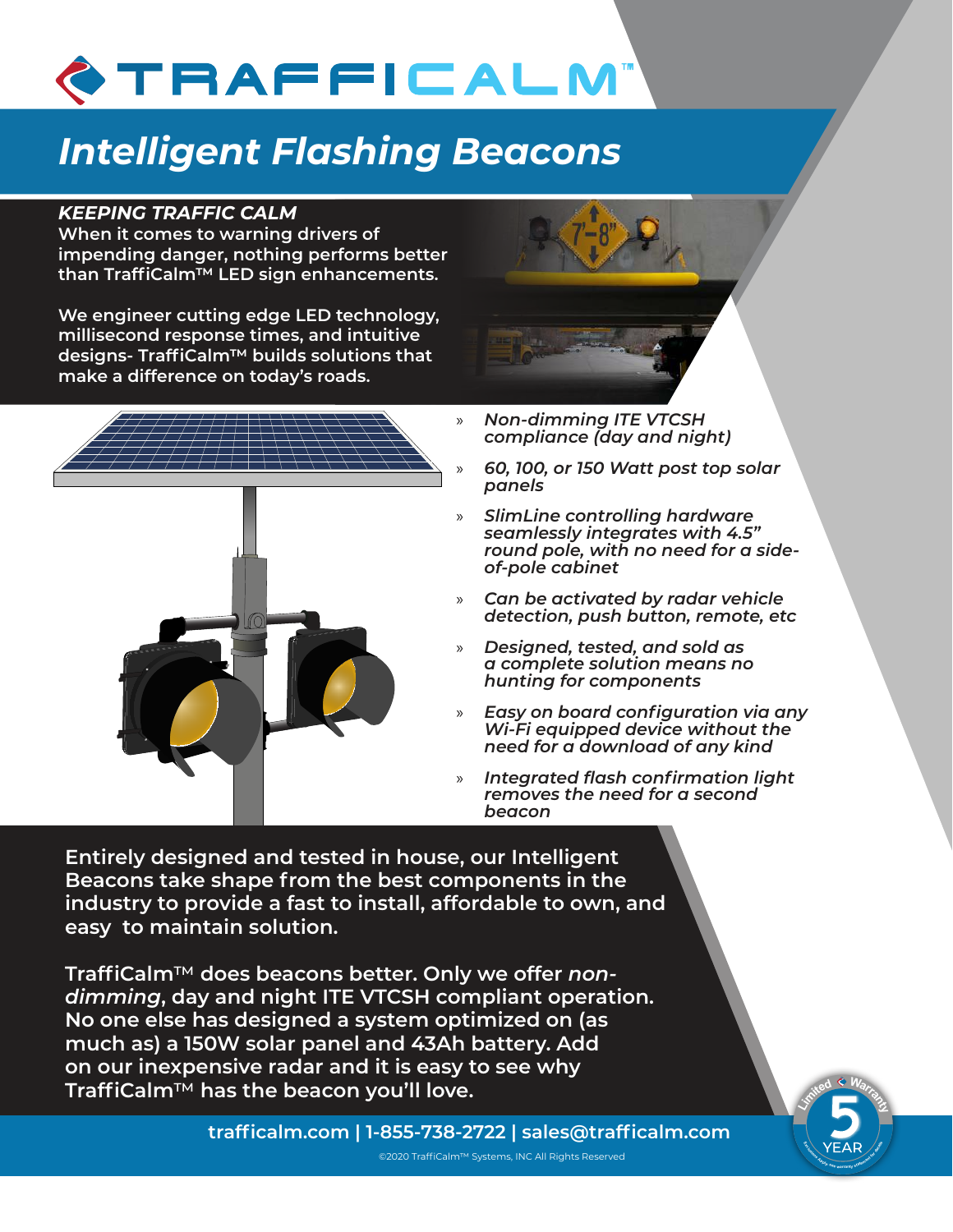# TRAFFICALM

## *Intelligent Flashing Beacons*

#### *KEEPING TRAFFIC CALM*

**When it comes to warning drivers of impending danger, nothing performs better than TraffiCalm™ LED sign enhancements.** 

**We engineer cutting edge LED technology, millisecond response times, and intuitive designs- TraffiCalm™ builds solutions that make a difference on today's roads.**





- » *Non-dimming ITE VTCSH compliance (day and night)*
	- » *60, 100, or 150 Watt post top solar panels*
- » *SlimLine controlling hardware seamlessly integrates with 4.5" round pole, with no need for a sideof-pole cabinet*
- » *Can be activated by radar vehicle detection, push button, remote, etc*
- » *Designed, tested, and sold as a complete solution means no hunting for components*
- » *Easy on board configuration via any Wi-Fi equipped device without the need for a download of any kind*
- » *Integrated flash confirmation light removes the need for a second beacon*

**<sup>L</sup><sup>i</sup>m<sup>i</sup>te<sup>d</sup> <sup>W</sup>arrant<sup>y</sup>**

EAR MEAR

**Entirely designed and tested in house, our Intelligent Beacons take shape from the best components in the industry to provide a fast to install, affordable to own, and easy to maintain solution.**

**TraffiCalm**™ **does beacons better. Only we offer** *nondimming***, day and night ITE VTCSH compliant operation. No one else has designed a system optimized on (as much as) a 150W solar panel and 43Ah battery. Add on our inexpensive radar and it is easy to see why TraffiCalm**™ **has the beacon you'll love.**

855-738-2722 | www.trafficalm.com **trafficalm.com | 1-855-738-2722 | sales@trafficalm.com**

©2020 TraffiCalm™ Systems, INC All Rights Reserved